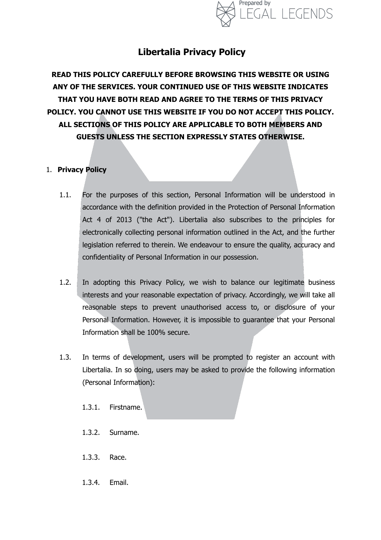

# **Libertalia Privacy Policy**

**READ THIS POLICY CAREFULLY BEFORE BROWSING THIS WEBSITE OR USING ANY OF THE SERVICES. YOUR CONTINUED USE OF THIS WEBSITE INDICATES THAT YOU HAVE BOTH READ AND AGREE TO THE TERMS OF THIS PRIVACY POLICY. YOU CANNOT USE THIS WEBSITE IF YOU DO NOT ACCEPT THIS POLICY. ALL SECTIONS OF THIS POLICY ARE APPLICABLE TO BOTH MEMBERS AND GUESTS UNLESS THE SECTION EXPRESSLY STATES OTHERWISE.** 

## 1. **Privacy Policy**

- 1.1. For the purposes of this section, Personal Information will be understood in accordance with the definition provided in the Protection of Personal Information Act 4 of 2013 ("the Act"). Libertalia also subscribes to the principles for electronically collecting personal information outlined in the Act, and the further legislation referred to therein. We endeavour to ensure the quality, accuracy and confidentiality of Personal Information in our possession.
- 1.2. In adopting this Privacy Policy, we wish to balance our legitimate business interests and your reasonable expectation of privacy. Accordingly, we will take all reasonable steps to prevent unauthorised access to, or disclosure of your Personal Information. However, it is impossible to guarantee that your Personal Information shall be 100% secure.
- 1.3. In terms of development, users will be prompted to register an account with Libertalia. In so doing, users may be asked to provide the following information (Personal Information):
	- 1.3.1. Firstname.
	- 1.3.2. Surname.
	- 1.3.3. Race.
	- 1.3.4. Email.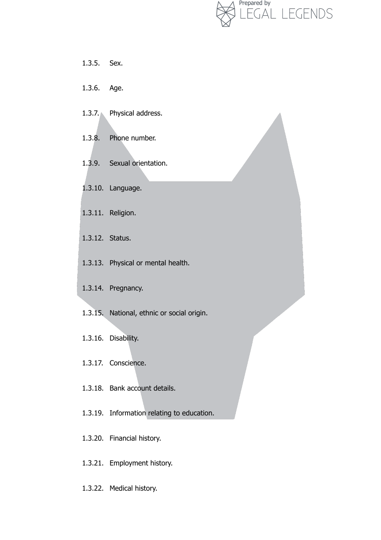

- 1.3.5. Sex.
- 1.3.6. Age.
- 1.3.7. Physical address.
- 1.3.8. Phone number.
- 1.3.9. Sexual orientation.
- 1.3.10. Language.
- 1.3.11. Religion.
- 1.3.12. Status.
- 1.3.13. Physical or mental health.
- 1.3.14. Pregnancy.
- 1.3.15. National, ethnic or social origin.
- 1.3.16. Disability.
- 1.3.17. Conscience.
- 1.3.18. Bank account details.
- 1.3.19. Information relating to education.
- 1.3.20. Financial history.
- 1.3.21. Employment history.
- 1.3.22. Medical history.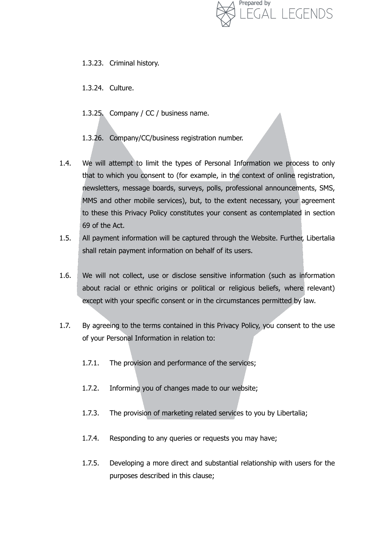

- 1.3.23. Criminal history.
- 1.3.24. Culture.
- 1.3.25. Company / CC / business name.
- 1.3.26. Company/CC/business registration number.
- 1.4. We will attempt to limit the types of Personal Information we process to only that to which you consent to (for example, in the context of online registration, newsletters, message boards, surveys, polls, professional announcements, SMS, MMS and other mobile services), but, to the extent necessary, your agreement to these this Privacy Policy constitutes your consent as contemplated in section 69 of the Act.
- 1.5. All payment information will be captured through the Website. Further, Libertalia shall retain payment information on behalf of its users.
- 1.6. We will not collect, use or disclose sensitive information (such as information about racial or ethnic origins or political or religious beliefs, where relevant) except with your specific consent or in the circumstances permitted by law.
- 1.7. By agreeing to the terms contained in this Privacy Policy, you consent to the use of your Personal Information in relation to:
	- 1.7.1. The provision and performance of the services;
	- 1.7.2. Informing you of changes made to our website;
	- 1.7.3. The provision of marketing related services to you by Libertalia;
	- 1.7.4. Responding to any queries or requests you may have;
	- 1.7.5. Developing a more direct and substantial relationship with users for the purposes described in this clause;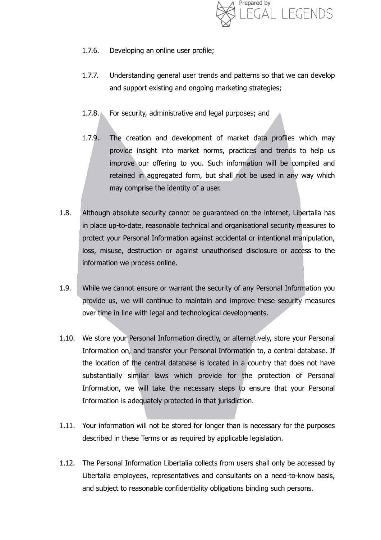

- 1.7.6. Developing an online user profile;
- 1.7.7. Understanding general user trends and patterns so that we can develop and support existing and ongoing marketing strategies;
- 1.7.8. For security, administrative and legal purposes; and
- 1.7.9. The creation and development of market data profiles which may provide insight into market norms, practices and trends to help us improve our offering to you. Such information will be compiled and retained in aggregated form, but shall not be used in any way which may comprise the identity of a user.
- 1.8. Although absolute security cannot be guaranteed on the internet, Libertalia has in place up-to-date, reasonable technical and organisational security measures to protect your Personal Information against accidental or intentional manipulation, loss, misuse, destruction or against unauthorised disclosure or access to the information we process online.
- 1.9. While we cannot ensure or warrant the security of any Personal Information you provide us, we will continue to maintain and improve these security measures over time in line with legal and technological developments.
- 1.10. We store your Personal Information directly, or alternatively, store your Personal Information on, and transfer your Personal Information to, a central database. If the location of the central database is located in a country that does not have substantially similar laws which provide for the protection of Personal Information, we will take the necessary steps to ensure that your Personal Information is adequately protected in that jurisdiction.
- 1.11. Your information will not be stored for longer than is necessary for the purposes described in these Terms or as required by applicable legislation.
- 1.12. The Personal Information Libertalia collects from users shall only be accessed by Libertalia employees, representatives and consultants on a need-to-know basis, and subject to reasonable confidentiality obligations binding such persons.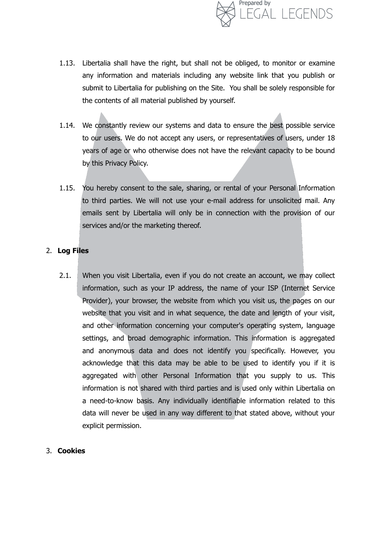

- 1.13. Libertalia shall have the right, but shall not be obliged, to monitor or examine any information and materials including any website link that you publish or submit to Libertalia for publishing on the Site. You shall be solely responsible for the contents of all material published by yourself.
- 1.14. We constantly review our systems and data to ensure the best possible service to our users. We do not accept any users, or representatives of users, under 18 years of age or who otherwise does not have the relevant capacity to be bound by this Privacy Policy.
- 1.15. You hereby consent to the sale, sharing, or rental of your Personal Information to third parties. We will not use your e-mail address for unsolicited mail. Any emails sent by Libertalia will only be in connection with the provision of our services and/or the marketing thereof.

## 2. **Log Files**

2.1. When you visit Libertalia, even if you do not create an account, we may collect information, such as your IP address, the name of your ISP (Internet Service Provider), your browser, the website from which you visit us, the pages on our website that you visit and in what sequence, the date and length of your visit, and other information concerning your computer's operating system, language settings, and broad demographic information. This information is aggregated and anonymous data and does not identify you specifically. However, you acknowledge that this data may be able to be used to identify you if it is aggregated with other Personal Information that you supply to us. This information is not shared with third parties and is used only within Libertalia on a need-to-know basis. Any individually identifiable information related to this data will never be used in any way different to that stated above, without your explicit permission.

#### 3. **Cookies**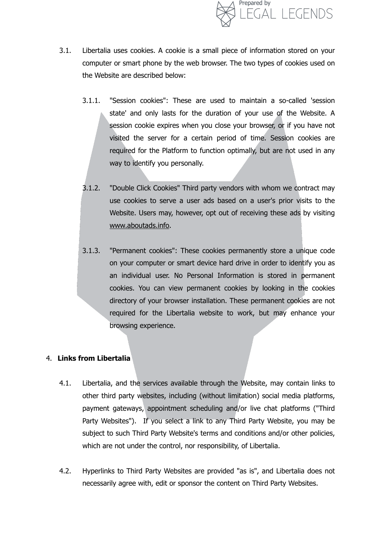

- 3.1. Libertalia uses cookies. A cookie is a small piece of information stored on your computer or smart phone by the web browser. The two types of cookies used on the Website are described below:
	- 3.1.1. "Session cookies": These are used to maintain a so-called 'session state' and only lasts for the duration of your use of the Website. A session cookie expires when you close your browser, or if you have not visited the server for a certain period of time. Session cookies are required for the Platform to function optimally, but are not used in any way to identify you personally.
	- 3.1.2. "Double Click Cookies" Third party vendors with whom we contract may use cookies to serve a user ads based on a user's prior visits to the Website. Users may, however, opt out of receiving these ads by visiting [www.aboutads.info](http://www.aboutads.info).
	- 3.1.3. "Permanent cookies": These cookies permanently store a unique code on your computer or smart device hard drive in order to identify you as an individual user. No Personal Information is stored in permanent cookies. You can view permanent cookies by looking in the cookies directory of your browser installation. These permanent cookies are not required for the Libertalia website to work, but may enhance your browsing experience.

#### 4. **Links from Libertalia**

- 4.1. Libertalia, and the services available through the Website, may contain links to other third party websites, including (without limitation) social media platforms, payment gateways, appointment scheduling and/or live chat platforms ("Third Party Websites"). If you select a link to any Third Party Website, you may be subject to such Third Party Website's terms and conditions and/or other policies, which are not under the control, nor responsibility, of Libertalia.
- 4.2. Hyperlinks to Third Party Websites are provided "as is", and Libertalia does not necessarily agree with, edit or sponsor the content on Third Party Websites.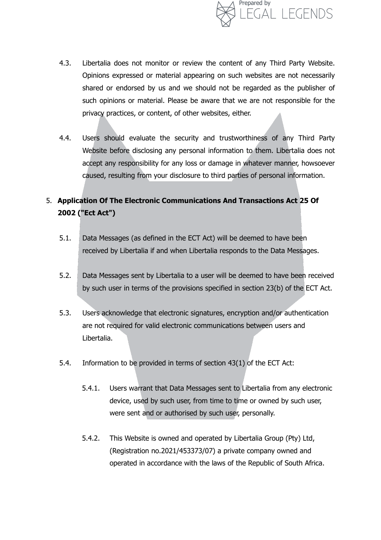

- 4.3. Libertalia does not monitor or review the content of any Third Party Website. Opinions expressed or material appearing on such websites are not necessarily shared or endorsed by us and we should not be regarded as the publisher of such opinions or material. Please be aware that we are not responsible for the privacy practices, or content, of other websites, either.
- 4.4. Users should evaluate the security and trustworthiness of any Third Party Website before disclosing any personal information to them. Libertalia does not accept any responsibility for any loss or damage in whatever manner, howsoever caused, resulting from your disclosure to third parties of personal information.

# 5. **Application Of The Electronic Communications And Transactions Act 25 Of 2002 ("Ect Act")**

- 5.1. Data Messages (as defined in the ECT Act) will be deemed to have been received by Libertalia if and when Libertalia responds to the Data Messages.
- 5.2. Data Messages sent by Libertalia to a user will be deemed to have been received by such user in terms of the provisions specified in section 23(b) of the ECT Act.
- 5.3. Users acknowledge that electronic signatures, encryption and/or authentication are not required for valid electronic communications between users and Libertalia.
- 5.4. Information to be provided in terms of section 43(1) of the ECT Act:
	- 5.4.1. Users warrant that Data Messages sent to Libertalia from any electronic device, used by such user, from time to time or owned by such user, were sent and or authorised by such user, personally.
	- 5.4.2. This Website is owned and operated by Libertalia Group (Pty) Ltd, (Registration no.2021/453373/07) a private company owned and operated in accordance with the laws of the Republic of South Africa.